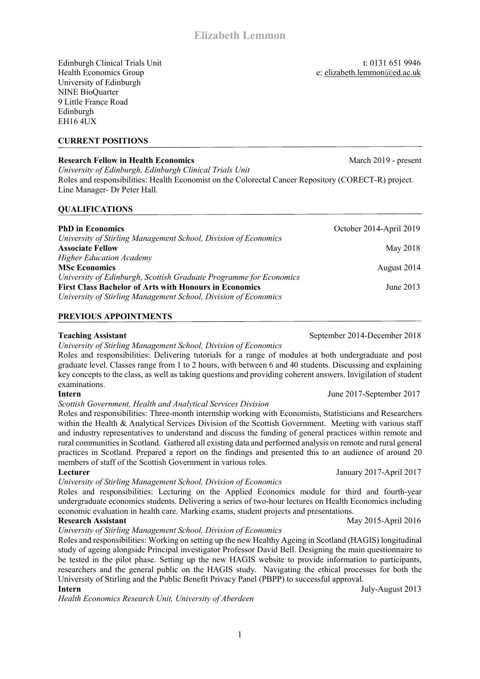Edinburgh Clinical Trials Unit t: 0131 651 9946

Health Economics Group e: elizabeth.lemmon@ed.ac.uk University of Edinburgh NINE BioQuarter 9 Little France Road Edinburgh EH16 4UX

### **CURRENT POSITIONS**

### **Research Fellow in Health Economics** March 2019 - present

*University of Edinburgh, Edinburgh Clinical Trials Unit* Roles and responsibilities: Health Economist on the Colorectal Cancer Repository (CORECT-R) project. Line Manager- Dr Peter Hall.

#### **QUALIFICATIONS**

| <b>PhD</b> in Economics                                            | October 2014-April 2019 |
|--------------------------------------------------------------------|-------------------------|
| University of Stirling Management School, Division of Economics    |                         |
| <b>Associate Fellow</b>                                            | May 2018                |
| <b>Higher Education Academy</b>                                    |                         |
| <b>MSc Economics</b>                                               | August 2014             |
| University of Edinburgh, Scottish Graduate Programme for Economics |                         |
| <b>First Class Bachelor of Arts with Honours in Economics</b>      | June 2013               |
| University of Stirling Management School, Division of Economics    |                         |

#### **PREVIOUS APPOINTMENTS**

*University of Stirling Management School, Division of Economics*

Roles and responsibilities: Delivering tutorials for a range of modules at both undergraduate and post graduate level. Classes range from 1 to 2 hours, with between 6 and 40 students. Discussing and explaining key concepts to the class, as well as taking questions and providing coherent answers. Invigilation of student examinations.

#### *Scottish Government, Health and Analytical Services Division*

Roles and responsibilities: Three-month internship working with Economists, Statisticians and Researchers within the Health & Analytical Services Division of the Scottish Government. Meeting with various staff and industry representatives to understand and discuss the funding of general practices within remote and rural communities in Scotland. Gathered all existing data and performed analysis on remote and rural general practices in Scotland. Prepared a report on the findings and presented this to an audience of around 20 members of staff of the Scottish Government in various roles.

*University of Stirling Management School, Division of Economics*

Roles and responsibilities: Lecturing on the Applied Economics module for third and fourth-year undergraduate economics students. Delivering a series of two-hour lectures on Health Economics including economic evaluation in health care. Marking exams, student projects and presentations.

#### **Research Assistant** May 2015-April 2016

# *University of Stirling Management School, Division of Economics*

Roles and responsibilities: Working on setting up the new Healthy Ageing in Scotland (HAGIS) longitudinal study of ageing alongside Principal investigator Professor David Bell. Designing the main questionnaire to be tested in the pilot phase. Setting up the new HAGIS website to provide information to participants, researchers and the general public on the HAGIS study. Navigating the ethical processes for both the University of Stirling and the Public Benefit Privacy Panel (PBPP) to successful approval.

*Health Economics Research Unit, University of Aberdeen* 

**Teaching Assistant** September 2014-December 2018

**Intern** June 2017-September 2017

**Lecturer** January 2017-April 2017

**Intern** July-August 2013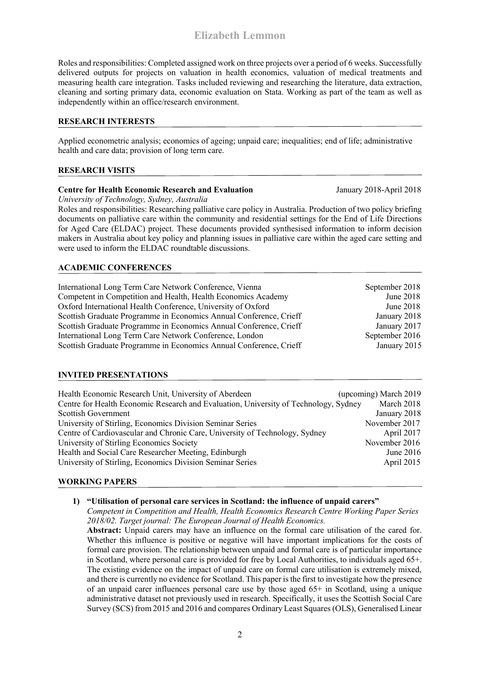Roles and responsibilities: Completed assigned work on three projects over a period of 6 weeks. Successfully delivered outputs for projects on valuation in health economics, valuation of medical treatments and measuring health care integration. Tasks included reviewing and researching the literature, data extraction, cleaning and sorting primary data, economic evaluation on Stata. Working as part of the team as well as independently within an office/research environment.

### **RESEARCH INTERESTS**

Applied econometric analysis; economics of ageing; unpaid care; inequalities; end of life; administrative health and care data; provision of long term care.

# **RESEARCH VISITS**

# **Centre for Health Economic Research and Evaluation** January 2018-April 2018

*University of Technology, Sydney, Australia*

Roles and responsibilities: Researching palliative care policy in Australia. Production of two policy briefing documents on palliative care within the community and residential settings for the End of Life Directions for Aged Care (ELDAC) project. These documents provided synthesised information to inform decision makers in Australia about key policy and planning issues in palliative care within the aged care setting and were used to inform the ELDAC roundtable discussions.

# **ACADEMIC CONFERENCES**

| International Long Term Care Network Conference, Vienna            | September 2018 |
|--------------------------------------------------------------------|----------------|
| Competent in Competition and Health, Health Economics Academy      | June 2018      |
| Oxford International Health Conference, University of Oxford       | June 2018      |
| Scottish Graduate Programme in Economics Annual Conference, Crieff | January 2018   |
| Scottish Graduate Programme in Economics Annual Conference, Crieff | January 2017   |
| International Long Term Care Network Conference, London            | September 2016 |
| Scottish Graduate Programme in Economics Annual Conference, Crieff | January 2015   |

# **INVITED PRESENTATIONS**

| Health Economic Research Unit, University of Aberdeen                                | (upcoming) March 2019 |
|--------------------------------------------------------------------------------------|-----------------------|
| Centre for Health Economic Research and Evaluation, University of Technology, Sydney | March 2018            |
| <b>Scottish Government</b>                                                           | January 2018          |
| University of Stirling, Economics Division Seminar Series                            | November 2017         |
| Centre of Cardiovascular and Chronic Care, University of Technology, Sydney          | April 2017            |
| University of Stirling Economics Society                                             | November 2016         |
| Health and Social Care Researcher Meeting, Edinburgh                                 | June $2016$           |
| University of Stirling, Economics Division Seminar Series                            | April 2015            |
|                                                                                      |                       |

#### **WORKING PAPERS**

**1) "Utilisation of personal care services in Scotland: the influence of unpaid carers"**

*Competent in Competition and Health, Health Economics Research Centre Working Paper Series 2018/02. Target journal: The European Journal of Health Economics.*

**Abstract:** Unpaid carers may have an influence on the formal care utilisation of the cared for. Whether this influence is positive or negative will have important implications for the costs of formal care provision. The relationship between unpaid and formal care is of particular importance in Scotland, where personal care is provided for free by Local Authorities, to individuals aged 65+. The existing evidence on the impact of unpaid care on formal care utilisation is extremely mixed, and there is currently no evidence for Scotland. This paper is the first to investigate how the presence of an unpaid carer influences personal care use by those aged 65+ in Scotland, using a unique administrative dataset not previously used in research. Specifically, it uses the Scottish Social Care Survey (SCS) from 2015 and 2016 and compares Ordinary Least Squares (OLS), Generalised Linear

2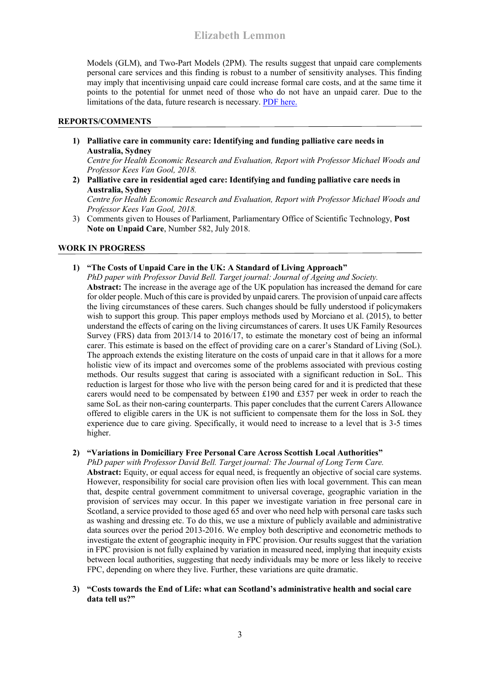Models (GLM), and Two-Part Models (2PM). The results suggest that unpaid care complements personal care services and this finding is robust to a number of sensitivity analyses. This finding may imply that incentivising unpaid care could increase formal care costs, and at the same time it points to the potential for unmet need of those who do not have an unpaid carer. Due to the limitations of the data, future research is necessary. [PDF here.](https://cinch.uni-due.de/fileadmin/content/research/workingpaper/CINCH_Series-Lemmon.pdf)

### **REPORTS/COMMENTS**

**1) Palliative care in community care: Identifying and funding palliative care needs in Australia, Sydney**

*Centre for Health Economic Research and Evaluation, Report with Professor Michael Woods and Professor Kees Van Gool, 2018.*

**2) Palliative care in residential aged care: Identifying and funding palliative care needs in Australia, Sydney**

*Centre for Health Economic Research and Evaluation, Report with Professor Michael Woods and Professor Kees Van Gool, 2018.*

3) Comments given to Houses of Parliament, Parliamentary Office of Scientific Technology, **Post Note on Unpaid Care**, Number 582, July 2018.

# **WORK IN PROGRESS**

**1) "The Costs of Unpaid Care in the UK: A Standard of Living Approach"**

*PhD paper with Professor David Bell. Target journal: Journal of Ageing and Society.* **Abstract:** The increase in the average age of the UK population has increased the demand for care for older people. Much of this care is provided by unpaid carers. The provision of unpaid care affects the living circumstances of these carers. Such changes should be fully understood if policymakers wish to support this group. This paper employs methods used by Morciano et al. (2015), to better understand the effects of caring on the living circumstances of carers. It uses UK Family Resources Survey (FRS) data from 2013/14 to 2016/17, to estimate the monetary cost of being an informal carer. This estimate is based on the effect of providing care on a carer's Standard of Living (SoL). The approach extends the existing literature on the costs of unpaid care in that it allows for a more holistic view of its impact and overcomes some of the problems associated with previous costing methods. Our results suggest that caring is associated with a significant reduction in SoL. This reduction is largest for those who live with the person being cared for and it is predicted that these carers would need to be compensated by between £190 and £357 per week in order to reach the same SoL as their non-caring counterparts. This paper concludes that the current Carers Allowance offered to eligible carers in the UK is not sufficient to compensate them for the loss in SoL they experience due to care giving. Specifically, it would need to increase to a level that is 3-5 times higher.

# **2) "Variations in Domiciliary Free Personal Care Across Scottish Local Authorities"**

*PhD paper with Professor David Bell. Target journal: The Journal of Long Term Care.*

**Abstract:** Equity, or equal access for equal need, is frequently an objective of social care systems. However, responsibility for social care provision often lies with local government. This can mean that, despite central government commitment to universal coverage, geographic variation in the provision of services may occur. In this paper we investigate variation in free personal care in Scotland, a service provided to those aged 65 and over who need help with personal care tasks such as washing and dressing etc. To do this, we use a mixture of publicly available and administrative data sources over the period 2013-2016. We employ both descriptive and econometric methods to investigate the extent of geographic inequity in FPC provision. Our results suggest that the variation in FPC provision is not fully explained by variation in measured need, implying that inequity exists between local authorities, suggesting that needy individuals may be more or less likely to receive FPC, depending on where they live. Further, these variations are quite dramatic.

#### **3) "Costs towards the End of Life: what can Scotland's administrative health and social care data tell us?"**